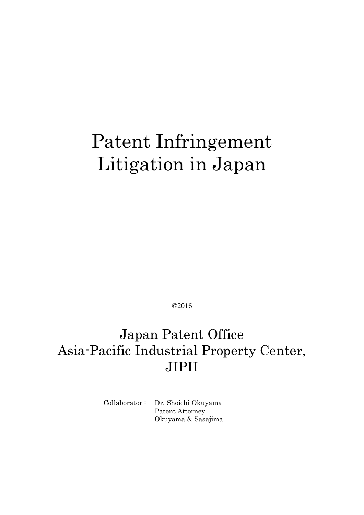# Patent Infringement Litigation in Japan

©2016

## Japan Patent Office Asia-Pacific Industrial Property Center, JIPII

Collaborator : Dr. Shoichi Okuyama Patent Attorney Okuyama & Sasajima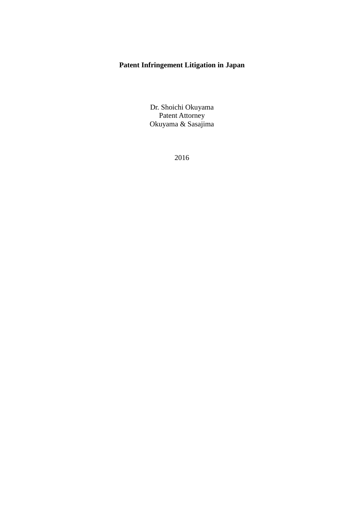## **Patent Infringement Litigation in Japan**

Dr. Shoichi Okuyama Patent Attorney Okuyama & Sasajima

2016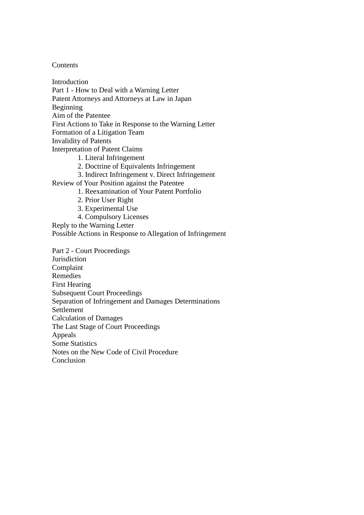**Contents** 

Introduction Part 1 - How to Deal with a Warning Letter Patent Attorneys and Attorneys at Law in Japan Beginning Aim of the Patentee First Actions to Take in Response to the Warning Letter Formation of a Litigation Team Invalidity of Patents Interpretation of Patent Claims 1. Literal Infringement 2. Doctrine of Equivalents Infringement 3. Indirect Infringement v. Direct Infringement Review of Your Position against the Patentee 1. Reexamination of Your Patent Portfolio 2. Prior User Right 3. Experimental Use 4. Compulsory Licenses Reply to the Warning Letter Possible Actions in Response to Allegation of Infringement Part 2 - Court Proceedings **Jurisdiction** Complaint Remedies First Hearing Subsequent Court Proceedings Separation of Infringement and Damages Determinations Settlement Calculation of Damages The Last Stage of Court Proceedings Appeals Some Statistics Notes on the New Code of Civil Procedure Conclusion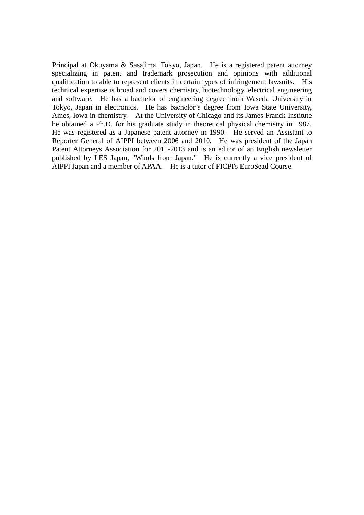Principal at Okuyama & Sasajima, Tokyo, Japan. He is a registered patent attorney specializing in patent and trademark prosecution and opinions with additional qualification to able to represent clients in certain types of infringement lawsuits. His technical expertise is broad and covers chemistry, biotechnology, electrical engineering and software. He has a bachelor of engineering degree from Waseda University in Tokyo, Japan in electronics. He has bachelor's degree from Iowa State University, Ames, Iowa in chemistry. At the University of Chicago and its James Franck Institute he obtained a Ph.D. for his graduate study in theoretical physical chemistry in 1987. He was registered as a Japanese patent attorney in 1990. He served an Assistant to Reporter General of AIPPI between 2006 and 2010. He was president of the Japan Patent Attorneys Association for 2011-2013 and is an editor of an English newsletter published by LES Japan, "Winds from Japan." He is currently a vice president of AIPPI Japan and a member of APAA. He is a tutor of FICPI's EuroSead Course.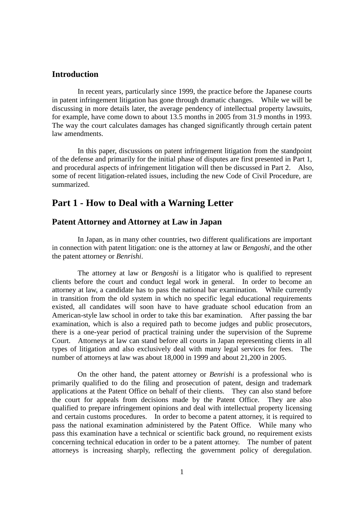#### **Introduction**

In recent years, particularly since 1999, the practice before the Japanese courts in patent infringement litigation has gone through dramatic changes. While we will be discussing in more details later, the average pendency of intellectual property lawsuits, for example, have come down to about 13.5 months in 2005 from 31.9 months in 1993. The way the court calculates damages has changed significantly through certain patent law amendments.

In this paper, discussions on patent infringement litigation from the standpoint of the defense and primarily for the initial phase of disputes are first presented in Part 1, and procedural aspects of infringement litigation will then be discussed in Part 2. Also, some of recent litigation-related issues, including the new Code of Civil Procedure, are summarized.

## **Part 1 - How to Deal with a Warning Letter**

#### **Patent Attorney and Attorney at Law in Japan**

In Japan, as in many other countries, two different qualifications are important in connection with patent litigation: one is the attorney at law or *Bengoshi*, and the other the patent attorney or *Benrishi*.

The attorney at law or *Bengoshi* is a litigator who is qualified to represent clients before the court and conduct legal work in general. In order to become an attorney at law, a candidate has to pass the national bar examination. While currently in transition from the old system in which no specific legal educational requirements existed, all candidates will soon have to have graduate school education from an American-style law school in order to take this bar examination. After passing the bar examination, which is also a required path to become judges and public prosecutors, there is a one-year period of practical training under the supervision of the Supreme Court. Attorneys at law can stand before all courts in Japan representing clients in all types of litigation and also exclusively deal with many legal services for fees. The number of attorneys at law was about 18,000 in 1999 and about 21,200 in 2005.

On the other hand, the patent attorney or *Benrishi* is a professional who is primarily qualified to do the filing and prosecution of patent, design and trademark applications at the Patent Office on behalf of their clients. They can also stand before the court for appeals from decisions made by the Patent Office. They are also qualified to prepare infringement opinions and deal with intellectual property licensing and certain customs procedures. In order to become a patent attorney, it is required to pass the national examination administered by the Patent Office. While many who pass this examination have a technical or scientific back ground, no requirement exists concerning technical education in order to be a patent attorney. The number of patent attorneys is increasing sharply, reflecting the government policy of deregulation.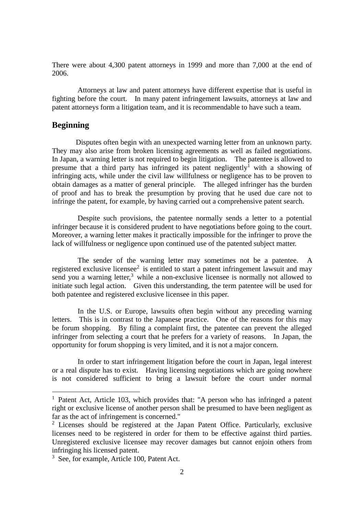There were about 4,300 patent attorneys in 1999 and more than 7,000 at the end of 2006.

Attorneys at law and patent attorneys have different expertise that is useful in fighting before the court. In many patent infringement lawsuits, attorneys at law and patent attorneys form a litigation team, and it is recommendable to have such a team.

#### **Beginning**

<u>.</u>

Disputes often begin with an unexpected warning letter from an unknown party. They may also arise from broken licensing agreements as well as failed negotiations. In Japan, a warning letter is not required to begin litigation. The patentee is allowed to presume that a third party has infringed its patent negligently<sup> $\bar{1}$ </sup> with a showing of infringing acts, while under the civil law willfulness or negligence has to be proven to obtain damages as a matter of general principle. The alleged infringer has the burden of proof and has to break the presumption by proving that he used due care not to infringe the patent, for example, by having carried out a comprehensive patent search.

Despite such provisions, the patentee normally sends a letter to a potential infringer because it is considered prudent to have negotiations before going to the court. Moreover, a warning letter makes it practically impossible for the infringer to prove the lack of willfulness or negligence upon continued use of the patented subject matter.

The sender of the warning letter may sometimes not be a patentee. A registered exclusive licensee<sup>2</sup> is entitled to start a patent infringement lawsuit and may send you a warning letter, $3$  while a non-exclusive licensee is normally not allowed to initiate such legal action. Given this understanding, the term patentee will be used for both patentee and registered exclusive licensee in this paper.

In the U.S. or Europe, lawsuits often begin without any preceding warning letters. This is in contrast to the Japanese practice. One of the reasons for this may be forum shopping. By filing a complaint first, the patentee can prevent the alleged infringer from selecting a court that he prefers for a variety of reasons. In Japan, the opportunity for forum shopping is very limited, and it is not a major concern.

In order to start infringement litigation before the court in Japan, legal interest or a real dispute has to exist. Having licensing negotiations which are going nowhere is not considered sufficient to bring a lawsuit before the court under normal

<sup>&</sup>lt;sup>1</sup> Patent Act, Article 103, which provides that: "A person who has infringed a patent right or exclusive license of another person shall be presumed to have been negligent as far as the act of infringement is concerned."

<sup>2</sup> Licenses should be registered at the Japan Patent Office. Particularly, exclusive licenses need to be registered in order for them to be effective against third parties. Unregistered exclusive licensee may recover damages but cannot enjoin others from infringing his licensed patent.

<sup>&</sup>lt;sup>3</sup> See, for example, Article 100, Patent Act.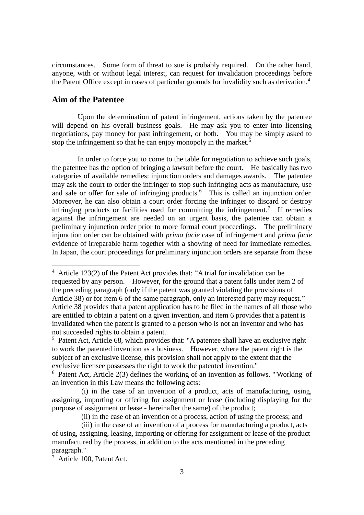circumstances. Some form of threat to sue is probably required. On the other hand, anyone, with or without legal interest, can request for invalidation proceedings before the Patent Office except in cases of particular grounds for invalidity such as derivation.<sup>4</sup>

## **Aim of the Patentee**

1

Upon the determination of patent infringement, actions taken by the patentee will depend on his overall business goals. He may ask you to enter into licensing negotiations, pay money for past infringement, or both. You may be simply asked to stop the infringement so that he can enjoy monopoly in the market.<sup>5</sup>

In order to force you to come to the table for negotiation to achieve such goals, the patentee has the option of bringing a lawsuit before the court. He basically has two categories of available remedies: injunction orders and damages awards. The patentee may ask the court to order the infringer to stop such infringing acts as manufacture, use and sale or offer for sale of infringing products.<sup>6</sup> This is called an injunction order. Moreover, he can also obtain a court order forcing the infringer to discard or destroy infringing products or facilities used for committing the infringement.<sup>7</sup> If remedies against the infringement are needed on an urgent basis, the patentee can obtain a preliminary injunction order prior to more formal court proceedings. The preliminary injunction order can be obtained with *prima facie* case of infringement and *prima facie* evidence of irreparable harm together with a showing of need for immediate remedies. In Japan, the court proceedings for preliminary injunction orders are separate from those

<sup>4</sup> Article 123(2) of the Patent Act provides that: "A trial for invalidation can be requested by any person. However, for the ground that a patent falls under item 2 of the preceding paragraph (only if the patent was granted violating the provisions of Article 38) or for item 6 of the same paragraph, only an interested party may request." Article 38 provides that a patent application has to be filed in the names of all those who are entitled to obtain a patent on a given invention, and item 6 provides that a patent is invalidated when the patent is granted to a person who is not an inventor and who has not succeeded rights to obtain a patent.

<sup>5</sup> Patent Act, Article 68, which provides that: "A patentee shall have an exclusive right to work the patented invention as a business. However, where the patent right is the subject of an exclusive license, this provision shall not apply to the extent that the exclusive licensee possesses the right to work the patented invention."

<sup>6</sup> Patent Act, Article 2(3) defines the working of an invention as follows. "'Working' of an invention in this Law means the following acts:

(i) in the case of an invention of a product, acts of manufacturing, using, assigning, importing or offering for assignment or lease (including displaying for the purpose of assignment or lease - hereinafter the same) of the product;

(ii) in the case of an invention of a process, action of using the process; and

(iii) in the case of an invention of a process for manufacturing a product, acts of using, assigning, leasing, importing or offering for assignment or lease of the product manufactured by the process, in addition to the acts mentioned in the preceding paragraph."

 $7$  Article 100, Patent Act.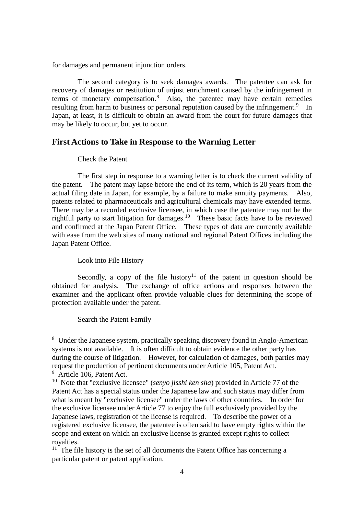for damages and permanent injunction orders.

The second category is to seek damages awards. The patentee can ask for recovery of damages or restitution of unjust enrichment caused by the infringement in terms of monetary compensation.<sup>8</sup> Also, the patentee may have certain remedies resulting from harm to business or personal reputation caused by the infringement.<sup>9</sup> In Japan, at least, it is difficult to obtain an award from the court for future damages that may be likely to occur, but yet to occur.

## **First Actions to Take in Response to the Warning Letter**

#### Check the Patent

The first step in response to a warning letter is to check the current validity of the patent. The patent may lapse before the end of its term, which is 20 years from the actual filing date in Japan, for example, by a failure to make annuity payments. Also, patents related to pharmaceuticals and agricultural chemicals may have extended terms. There may be a recorded exclusive licensee, in which case the patentee may not be the rightful party to start litigation for damages.<sup>10</sup> These basic facts have to be reviewed and confirmed at the Japan Patent Office. These types of data are currently available with ease from the web sites of many national and regional Patent Offices including the Japan Patent Office.

#### Look into File History

Secondly, a copy of the file history<sup>11</sup> of the patent in question should be obtained for analysis. The exchange of office actions and responses between the examiner and the applicant often provide valuable clues for determining the scope of protection available under the patent.

#### Search the Patent Family

<u>.</u>

<sup>8</sup> Under the Japanese system, practically speaking discovery found in Anglo-American systems is not available. It is often difficult to obtain evidence the other party has during the course of litigation. However, for calculation of damages, both parties may request the production of pertinent documents under Article 105, Patent Act.

<sup>&</sup>lt;sup>9</sup> Article 106, Patent Act.

<sup>10</sup> Note that "exclusive licensee" (*senyo jisshi ken sha*) provided in Article 77 of the Patent Act has a special status under the Japanese law and such status may differ from what is meant by "exclusive licensee" under the laws of other countries. In order for the exclusive licensee under Article 77 to enjoy the full exclusively provided by the Japanese laws, registration of the license is required. To describe the power of a registered exclusive licensee, the patentee is often said to have empty rights within the scope and extent on which an exclusive license is granted except rights to collect royalties.

 $11$  The file history is the set of all documents the Patent Office has concerning a particular patent or patent application.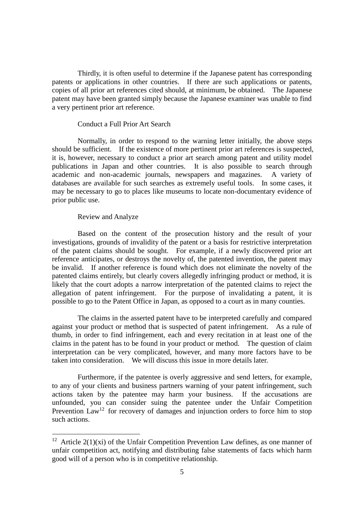Thirdly, it is often useful to determine if the Japanese patent has corresponding patents or applications in other countries. If there are such applications or patents, copies of all prior art references cited should, at minimum, be obtained. The Japanese patent may have been granted simply because the Japanese examiner was unable to find a very pertinent prior art reference.

#### Conduct a Full Prior Art Search

Normally, in order to respond to the warning letter initially, the above steps should be sufficient. If the existence of more pertinent prior art references is suspected, it is, however, necessary to conduct a prior art search among patent and utility model publications in Japan and other countries. It is also possible to search through academic and non-academic journals, newspapers and magazines. A variety of databases are available for such searches as extremely useful tools. In some cases, it may be necessary to go to places like museums to locate non-documentary evidence of prior public use.

#### Review and Analyze

<u>.</u>

Based on the content of the prosecution history and the result of your investigations, grounds of invalidity of the patent or a basis for restrictive interpretation of the patent claims should be sought. For example, if a newly discovered prior art reference anticipates, or destroys the novelty of, the patented invention, the patent may be invalid. If another reference is found which does not eliminate the novelty of the patented claims entirely, but clearly covers allegedly infringing product or method, it is likely that the court adopts a narrow interpretation of the patented claims to reject the allegation of patent infringement. For the purpose of invalidating a patent, it is possible to go to the Patent Office in Japan, as opposed to a court as in many counties.

The claims in the asserted patent have to be interpreted carefully and compared against your product or method that is suspected of patent infringement. As a rule of thumb, in order to find infringement, each and every recitation in at least one of the claims in the patent has to be found in your product or method. The question of claim interpretation can be very complicated, however, and many more factors have to be taken into consideration. We will discuss this issue in more details later.

Furthermore, if the patentee is overly aggressive and send letters, for example, to any of your clients and business partners warning of your patent infringement, such actions taken by the patentee may harm your business. If the accusations are unfounded, you can consider suing the patentee under the Unfair Competition Prevention  $Law<sup>12</sup>$  for recovery of damages and injunction orders to force him to stop such actions.

<sup>&</sup>lt;sup>12</sup> Article 2(1)(xi) of the Unfair Competition Prevention Law defines, as one manner of unfair competition act, notifying and distributing false statements of facts which harm good will of a person who is in competitive relationship.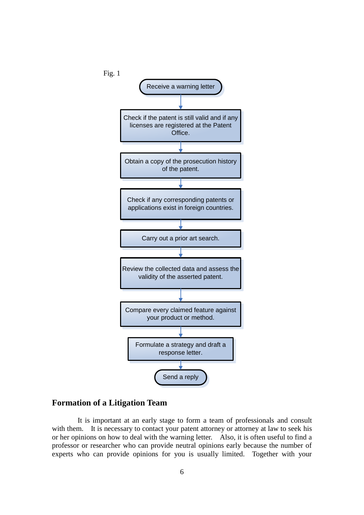

## **Formation of a Litigation Team**

It is important at an early stage to form a team of professionals and consult with them. It is necessary to contact your patent attorney or attorney at law to seek his or her opinions on how to deal with the warning letter. Also, it is often useful to find a professor or researcher who can provide neutral opinions early because the number of experts who can provide opinions for you is usually limited. Together with your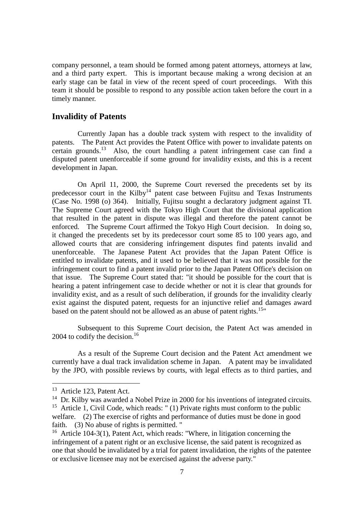company personnel, a team should be formed among patent attorneys, attorneys at law, and a third party expert. This is important because making a wrong decision at an early stage can be fatal in view of the recent speed of court proceedings. With this team it should be possible to respond to any possible action taken before the court in a timely manner.

#### **Invalidity of Patents**

Currently Japan has a double track system with respect to the invalidity of patents. The Patent Act provides the Patent Office with power to invalidate patents on certain grounds.<sup>13</sup> Also, the court handling a patent infringement case can find a disputed patent unenforceable if some ground for invalidity exists, and this is a recent development in Japan.

On April 11, 2000, the Supreme Court reversed the precedents set by its predecessor court in the Kilby<sup>14</sup> patent case between Fujitsu and Texas Instruments (Case No. 1998 (o) 364). Initially, Fujitsu sought a declaratory judgment against TI. The Supreme Court agreed with the Tokyo High Court that the divisional application that resulted in the patent in dispute was illegal and therefore the patent cannot be enforced. The Supreme Court affirmed the Tokyo High Court decision. In doing so, it changed the precedents set by its predecessor court some 85 to 100 years ago, and allowed courts that are considering infringement disputes find patents invalid and unenforceable. The Japanese Patent Act provides that the Japan Patent Office is entitled to invalidate patents, and it used to be believed that it was not possible for the infringement court to find a patent invalid prior to the Japan Patent Office's decision on that issue. The Supreme Court stated that: "it should be possible for the court that is hearing a patent infringement case to decide whether or not it is clear that grounds for invalidity exist, and as a result of such deliberation, if grounds for the invalidity clearly exist against the disputed patent, requests for an injunctive relief and damages award based on the patent should not be allowed as an abuse of patent rights.<sup>15</sup>"

Subsequent to this Supreme Court decision, the Patent Act was amended in 2004 to codify the decision.<sup>16</sup>

As a result of the Supreme Court decision and the Patent Act amendment we currently have a dual track invalidation scheme in Japan. A patent may be invalidated by the JPO, with possible reviews by courts, with legal effects as to third parties, and

<u>.</u>

<sup>&</sup>lt;sup>13</sup> Article 123, Patent Act.

 $14$  Dr. Kilby was awarded a Nobel Prize in 2000 for his inventions of integrated circuits.

<sup>&</sup>lt;sup>15</sup> Article 1, Civil Code, which reads: " (1) Private rights must conform to the public welfare. (2) The exercise of rights and performance of duties must be done in good faith. (3) No abuse of rights is permitted. "

<sup>16</sup> Article 104-3(1), Patent Act, which reads: "Where, in litigation concerning the infringement of a patent right or an exclusive license, the said patent is recognized as one that should be invalidated by a trial for patent invalidation, the rights of the patentee or exclusive licensee may not be exercised against the adverse party."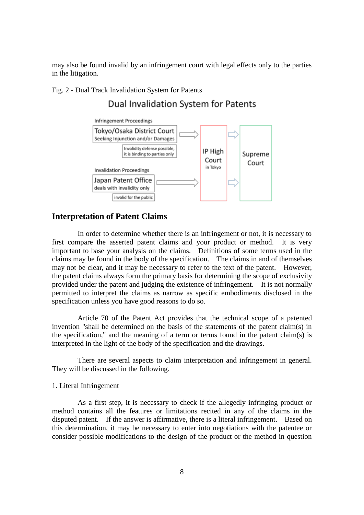may also be found invalid by an infringement court with legal effects only to the parties in the litigation.

#### Fig. 2 - Dual Track Invalidation System for Patents

## Dual Invalidation System for Patents



#### **Interpretation of Patent Claims**

In order to determine whether there is an infringement or not, it is necessary to first compare the asserted patent claims and your product or method. It is very important to base your analysis on the claims. Definitions of some terms used in the claims may be found in the body of the specification. The claims in and of themselves may not be clear, and it may be necessary to refer to the text of the patent. However, the patent claims always form the primary basis for determining the scope of exclusivity provided under the patent and judging the existence of infringement. It is not normally permitted to interpret the claims as narrow as specific embodiments disclosed in the specification unless you have good reasons to do so.

Article 70 of the Patent Act provides that the technical scope of a patented invention "shall be determined on the basis of the statements of the patent claim(s) in the specification," and the meaning of a term or terms found in the patent claim(s) is interpreted in the light of the body of the specification and the drawings.

There are several aspects to claim interpretation and infringement in general. They will be discussed in the following.

#### 1. Literal Infringement

As a first step, it is necessary to check if the allegedly infringing product or method contains all the features or limitations recited in any of the claims in the disputed patent. If the answer is affirmative, there is a literal infringement. Based on this determination, it may be necessary to enter into negotiations with the patentee or consider possible modifications to the design of the product or the method in question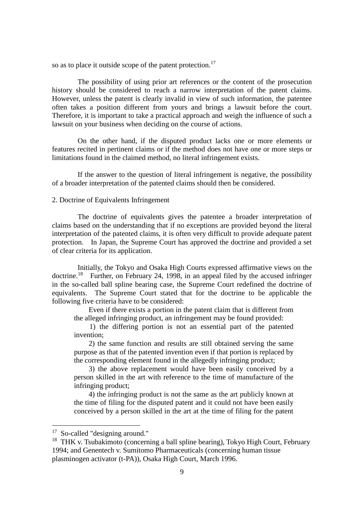so as to place it outside scope of the patent protection.<sup>17</sup>

The possibility of using prior art references or the content of the prosecution history should be considered to reach a narrow interpretation of the patent claims. However, unless the patent is clearly invalid in view of such information, the patentee often takes a position different from yours and brings a lawsuit before the court. Therefore, it is important to take a practical approach and weigh the influence of such a lawsuit on your business when deciding on the course of actions.

On the other hand, if the disputed product lacks one or more elements or features recited in pertinent claims or if the method does not have one or more steps or limitations found in the claimed method, no literal infringement exists.

If the answer to the question of literal infringement is negative, the possibility of a broader interpretation of the patented claims should then be considered.

#### 2. Doctrine of Equivalents Infringement

The doctrine of equivalents gives the patentee a broader interpretation of claims based on the understanding that if no exceptions are provided beyond the literal interpretation of the patented claims, it is often very difficult to provide adequate patent protection. In Japan, the Supreme Court has approved the doctrine and provided a set of clear criteria for its application.

Initially, the Tokyo and Osaka High Courts expressed affirmative views on the doctrine.<sup>18</sup> Further, on February 24, 1998, in an appeal filed by the accused infringer in the so-called ball spline bearing case, the Supreme Court redefined the doctrine of equivalents. The Supreme Court stated that for the doctrine to be applicable the following five criteria have to be considered:

 Even if there exists a portion in the patent claim that is different from the alleged infringing product, an infringement may be found provided:

 1) the differing portion is not an essential part of the patented invention;

 2) the same function and results are still obtained serving the same purpose as that of the patented invention even if that portion is replaced by the corresponding element found in the allegedly infringing product;

 3) the above replacement would have been easily conceived by a person skilled in the art with reference to the time of manufacture of the infringing product;

 4) the infringing product is not the same as the art publicly known at the time of filing for the disputed patent and it could not have been easily conceived by a person skilled in the art at the time of filing for the patent

1

<sup>&</sup>lt;sup>17</sup> So-called "designing around."

<sup>&</sup>lt;sup>18</sup> THK v. Tsubakimoto (concerning a ball spline bearing), Tokyo High Court, February 1994; and Genentech v. Sumitomo Pharmaceuticals (concerning human tissue plasminogen activator (t-PA)), Osaka High Court, March 1996.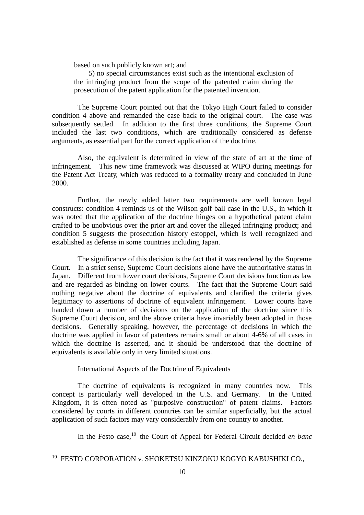based on such publicly known art; and

 5) no special circumstances exist such as the intentional exclusion of the infringing product from the scope of the patented claim during the prosecution of the patent application for the patented invention.

The Supreme Court pointed out that the Tokyo High Court failed to consider condition 4 above and remanded the case back to the original court. The case was subsequently settled. In addition to the first three conditions, the Supreme Court included the last two conditions, which are traditionally considered as defense arguments, as essential part for the correct application of the doctrine.

Also, the equivalent is determined in view of the state of art at the time of infringement. This new time framework was discussed at WIPO during meetings for the Patent Act Treaty, which was reduced to a formality treaty and concluded in June 2000.

Further, the newly added latter two requirements are well known legal constructs: condition 4 reminds us of the Wilson golf ball case in the U.S., in which it was noted that the application of the doctrine hinges on a hypothetical patent claim crafted to be unobvious over the prior art and cover the alleged infringing product; and condition 5 suggests the prosecution history estoppel, which is well recognized and established as defense in some countries including Japan.

The significance of this decision is the fact that it was rendered by the Supreme Court. In a strict sense, Supreme Court decisions alone have the authoritative status in Japan. Different from lower court decisions, Supreme Court decisions function as law and are regarded as binding on lower courts. The fact that the Supreme Court said nothing negative about the doctrine of equivalents and clarified the criteria gives legitimacy to assertions of doctrine of equivalent infringement. Lower courts have handed down a number of decisions on the application of the doctrine since this Supreme Court decision, and the above criteria have invariably been adopted in those decisions. Generally speaking, however, the percentage of decisions in which the doctrine was applied in favor of patentees remains small or about 4-6% of all cases in which the doctrine is asserted, and it should be understood that the doctrine of equivalents is available only in very limited situations.

International Aspects of the Doctrine of Equivalents

1

The doctrine of equivalents is recognized in many countries now. This concept is particularly well developed in the U.S. and Germany. In the United Kingdom, it is often noted as "purposive construction" of patent claims. Factors considered by courts in different countries can be similar superficially, but the actual application of such factors may vary considerably from one country to another.

In the Festo case,<sup>19</sup> the Court of Appeal for Federal Circuit decided *en banc* 

<sup>19</sup> FESTO CORPORATION v. SHOKETSU KINZOKU KOGYO KABUSHIKI CO.,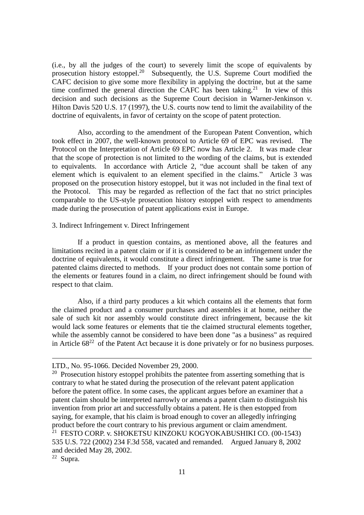(i.e., by all the judges of the court) to severely limit the scope of equivalents by prosecution history estoppel.<sup>20</sup> Subsequently, the U.S. Supreme Court modified the CAFC decision to give some more flexibility in applying the doctrine, but at the same time confirmed the general direction the CAFC has been taking.<sup>21</sup> In view of this decision and such decisions as the Supreme Court decision in Warner-Jenkinson v. Hilton Davis 520 U.S. 17 (1997), the U.S. courts now tend to limit the availability of the doctrine of equivalents, in favor of certainty on the scope of patent protection.

Also, according to the amendment of the European Patent Convention, which took effect in 2007, the well-known protocol to Article 69 of EPC was revised. The Protocol on the Interpretation of Article 69 EPC now has Article 2. It was made clear that the scope of protection is not limited to the wording of the claims, but is extended to equivalents. In accordance with Article 2, "due account shall be taken of any element which is equivalent to an element specified in the claims." Article 3 was proposed on the prosecution history estoppel, but it was not included in the final text of the Protocol. This may be regarded as reflection of the fact that no strict principles comparable to the US-style prosecution history estoppel with respect to amendments made during the prosecution of patent applications exist in Europe.

## 3. Indirect Infringement v. Direct Infringement

If a product in question contains, as mentioned above, all the features and limitations recited in a patent claim or if it is considered to be an infringement under the doctrine of equivalents, it would constitute a direct infringement. The same is true for patented claims directed to methods. If your product does not contain some portion of the elements or features found in a claim, no direct infringement should be found with respect to that claim.

Also, if a third party produces a kit which contains all the elements that form the claimed product and a consumer purchases and assembles it at home, neither the sale of such kit nor assembly would constitute direct infringement, because the kit would lack some features or elements that tie the claimed structural elements together, while the assembly cannot be considered to have been done "as a business" as required in Article  $68^{22}$  of the Patent Act because it is done privately or for no business purposes.

1

LTD., No. 95-1066. Decided November 29, 2000.

 $20$  Prosecution history estoppel prohibits the patentee from asserting something that is contrary to what he stated during the prosecution of the relevant patent application before the patent office. In some cases, the applicant argues before an examiner that a patent claim should be interpreted narrowly or amends a patent claim to distinguish his invention from prior art and successfully obtains a patent. He is then estopped from saying, for example, that his claim is broad enough to cover an allegedly infringing product before the court contrary to his previous argument or claim amendment. <sup>21</sup> FESTO CORP. v. SHOKETSU KINZOKU KOGYOKABUSHIKI CO. (00-1543) 535 U.S. 722 (2002) 234 F.3d 558, vacated and remanded. Argued January 8, 2002 and decided May 28, 2002.

<sup>22</sup> Supra.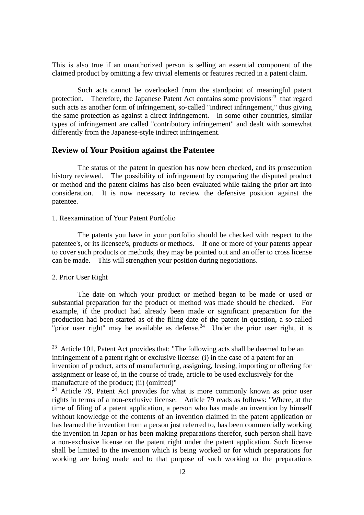This is also true if an unauthorized person is selling an essential component of the claimed product by omitting a few trivial elements or features recited in a patent claim.

Such acts cannot be overlooked from the standpoint of meaningful patent protection. Therefore, the Japanese Patent Act contains some provisions<sup>23</sup> that regard such acts as another form of infringement, so-called "indirect infringement," thus giving the same protection as against a direct infringement. In some other countries, similar types of infringement are called "contributory infringement" and dealt with somewhat differently from the Japanese-style indirect infringement.

#### **Review of Your Position against the Patentee**

The status of the patent in question has now been checked, and its prosecution history reviewed. The possibility of infringement by comparing the disputed product or method and the patent claims has also been evaluated while taking the prior art into consideration. It is now necessary to review the defensive position against the patentee.

#### 1. Reexamination of Your Patent Portfolio

The patents you have in your portfolio should be checked with respect to the patentee's, or its licensee's, products or methods. If one or more of your patents appear to cover such products or methods, they may be pointed out and an offer to cross license can be made. This will strengthen your position during negotiations.

#### 2. Prior User Right

<u>.</u>

The date on which your product or method began to be made or used or substantial preparation for the product or method was made should be checked. For example, if the product had already been made or significant preparation for the production had been started as of the filing date of the patent in question, a so-called "prior user right" may be available as defense.<sup>24</sup> Under the prior user right, it is

 $23$  Article 101, Patent Act provides that: "The following acts shall be deemed to be an infringement of a patent right or exclusive license: (i) in the case of a patent for an invention of product, acts of manufacturing, assigning, leasing, importing or offering for assignment or lease of, in the course of trade, article to be used exclusively for the manufacture of the product; (ii) (omitted)"

 $24$  Article 79, Patent Act provides for what is more commonly known as prior user rights in terms of a non-exclusive license. Article 79 reads as follows: "Where, at the time of filing of a patent application, a person who has made an invention by himself without knowledge of the contents of an invention claimed in the patent application or has learned the invention from a person just referred to, has been commercially working the invention in Japan or has been making preparations therefor, such person shall have a non-exclusive license on the patent right under the patent application. Such license shall be limited to the invention which is being worked or for which preparations for working are being made and to that purpose of such working or the preparations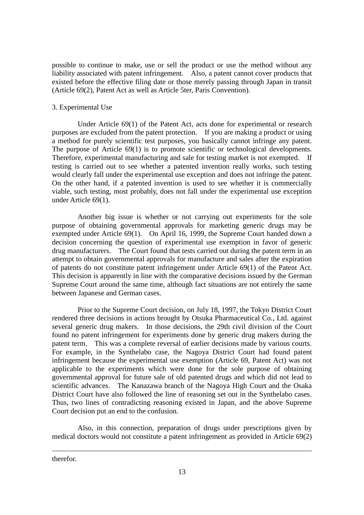possible to continue to make, use or sell the product or use the method without any liability associated with patent infringement. Also, a patent cannot cover products that existed before the effective filing date or those merely passing through Japan in transit (Article 69(2), Patent Act as well as Article 5ter, Paris Convention).

#### 3. Experimental Use

Under Article 69(1) of the Patent Act, acts done for experimental or research purposes are excluded from the patent protection. If you are making a product or using a method for purely scientific test purposes, you basically cannot infringe any patent. The purpose of Article 69(1) is to promote scientific or technological developments. Therefore, experimental manufacturing and sale for testing market is not exempted. If testing is carried out to see whether a patented invention really works, such testing would clearly fall under the experimental use exception and does not infringe the patent. On the other hand, if a patented invention is used to see whether it is commercially viable, such testing, most probably, does not fall under the experimental use exception under Article 69(1).

Another big issue is whether or not carrying out experiments for the sole purpose of obtaining governmental approvals for marketing generic drugs may be exempted under Article 69(1). On April 16, 1999, the Supreme Court handed down a decision concerning the question of experimental use exemption in favor of generic drug manufacturers. The Court found that tests carried out during the patent term in an attempt to obtain governmental approvals for manufacture and sales after the expiration of patents do not constitute patent infringement under Article 69(1) of the Patent Act. This decision is apparently in line with the comparative decisions issued by the German Supreme Court around the same time, although fact situations are not entirely the same between Japanese and German cases.

Prior to the Supreme Court decision, on July 18, 1997, the Tokyo District Court rendered three decisions in actions brought by Otsuka Pharmaceutical Co., Ltd. against several generic drug makers. In those decisions, the 29th civil division of the Court found no patent infringement for experiments done by generic drug makers during the patent term. This was a complete reversal of earlier decisions made by various courts. For example, in the Synthelabo case, the Nagoya District Court had found patent infringement because the experimental use exemption (Article 69, Patent Act) was not applicable to the experiments which were done for the sole purpose of obtaining governmental approval for future sale of old patented drugs and which did not lead to scientific advances. The Kanazawa branch of the Nagoya High Court and the Osaka District Court have also followed the line of reasoning set out in the Synthelabo cases. Thus, two lines of contradicting reasoning existed in Japan, and the above Supreme Court decision put an end to the confusion.

Also, in this connection, preparation of drugs under prescriptions given by medical doctors would not constitute a patent infringement as provided in Article 69(2)

therefor.

1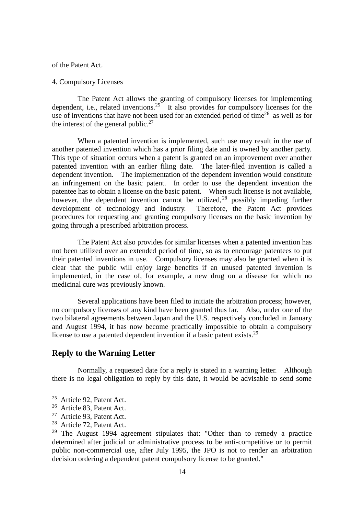of the Patent Act.

#### 4. Compulsory Licenses

The Patent Act allows the granting of compulsory licenses for implementing dependent, i.e., related inventions.<sup>25</sup> It also provides for compulsory licenses for the use of inventions that have not been used for an extended period of time<sup>26</sup> as well as for the interest of the general public.<sup>27</sup>

When a patented invention is implemented, such use may result in the use of another patented invention which has a prior filing date and is owned by another party. This type of situation occurs when a patent is granted on an improvement over another patented invention with an earlier filing date. The later-filed invention is called a dependent invention. The implementation of the dependent invention would constitute an infringement on the basic patent. In order to use the dependent invention the patentee has to obtain a license on the basic patent. When such license is not available, however, the dependent invention cannot be utilized, <sup>28</sup> possibly impeding further development of technology and industry. Therefore, the Patent Act provides procedures for requesting and granting compulsory licenses on the basic invention by going through a prescribed arbitration process.

The Patent Act also provides for similar licenses when a patented invention has not been utilized over an extended period of time, so as to encourage patentees to put their patented inventions in use. Compulsory licenses may also be granted when it is clear that the public will enjoy large benefits if an unused patented invention is implemented, in the case of, for example, a new drug on a disease for which no medicinal cure was previously known.

Several applications have been filed to initiate the arbitration process; however, no compulsory licenses of any kind have been granted thus far. Also, under one of the two bilateral agreements between Japan and the U.S. respectively concluded in January and August 1994, it has now become practically impossible to obtain a compulsory license to use a patented dependent invention if a basic patent exists.<sup>29</sup>

## **Reply to the Warning Letter**

Normally, a requested date for a reply is stated in a warning letter. Although there is no legal obligation to reply by this date, it would be advisable to send some

<u>.</u>

<sup>25</sup> Article 92, Patent Act.

<sup>26</sup> Article 83, Patent Act.

<sup>27</sup> Article 93, Patent Act.

<sup>28</sup> Article 72, Patent Act.

 $29$  The August 1994 agreement stipulates that: "Other than to remedy a practice determined after judicial or administrative process to be anti-competitive or to permit public non-commercial use, after July 1995, the JPO is not to render an arbitration decision ordering a dependent patent compulsory license to be granted."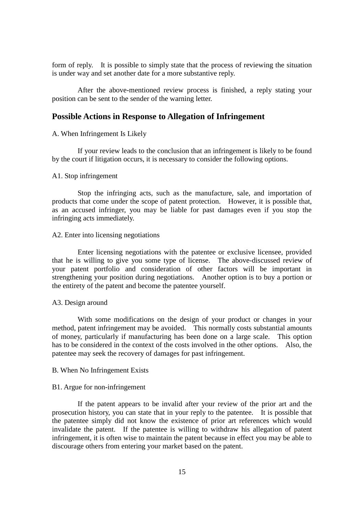form of reply. It is possible to simply state that the process of reviewing the situation is under way and set another date for a more substantive reply.

After the above-mentioned review process is finished, a reply stating your position can be sent to the sender of the warning letter.

#### **Possible Actions in Response to Allegation of Infringement**

#### A. When Infringement Is Likely

If your review leads to the conclusion that an infringement is likely to be found by the court if litigation occurs, it is necessary to consider the following options.

#### A1. Stop infringement

Stop the infringing acts, such as the manufacture, sale, and importation of products that come under the scope of patent protection. However, it is possible that, as an accused infringer, you may be liable for past damages even if you stop the infringing acts immediately.

#### A2. Enter into licensing negotiations

Enter licensing negotiations with the patentee or exclusive licensee, provided that he is willing to give you some type of license. The above-discussed review of your patent portfolio and consideration of other factors will be important in strengthening your position during negotiations. Another option is to buy a portion or the entirety of the patent and become the patentee yourself.

#### A3. Design around

With some modifications on the design of your product or changes in your method, patent infringement may be avoided. This normally costs substantial amounts of money, particularly if manufacturing has been done on a large scale. This option has to be considered in the context of the costs involved in the other options. Also, the patentee may seek the recovery of damages for past infringement.

#### B. When No Infringement Exists

#### B1. Argue for non-infringement

If the patent appears to be invalid after your review of the prior art and the prosecution history, you can state that in your reply to the patentee. It is possible that the patentee simply did not know the existence of prior art references which would invalidate the patent. If the patentee is willing to withdraw his allegation of patent infringement, it is often wise to maintain the patent because in effect you may be able to discourage others from entering your market based on the patent.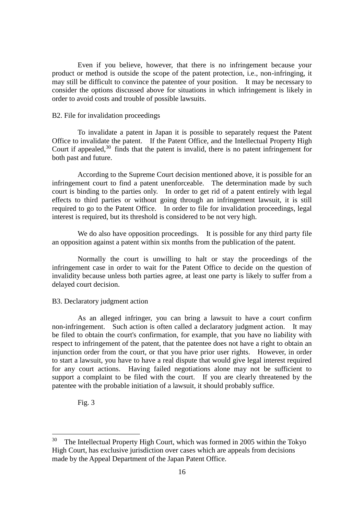Even if you believe, however, that there is no infringement because your product or method is outside the scope of the patent protection, i.e., non-infringing, it may still be difficult to convince the patentee of your position. It may be necessary to consider the options discussed above for situations in which infringement is likely in order to avoid costs and trouble of possible lawsuits.

#### B2. File for invalidation proceedings

To invalidate a patent in Japan it is possible to separately request the Patent Office to invalidate the patent. If the Patent Office, and the Intellectual Property High Court if appealed,  $30$  finds that the patent is invalid, there is no patent infringement for both past and future.

According to the Supreme Court decision mentioned above, it is possible for an infringement court to find a patent unenforceable. The determination made by such court is binding to the parties only. In order to get rid of a patent entirely with legal effects to third parties or without going through an infringement lawsuit, it is still required to go to the Patent Office. In order to file for invalidation proceedings, legal interest is required, but its threshold is considered to be not very high.

We do also have opposition proceedings. It is possible for any third party file an opposition against a patent within six months from the publication of the patent.

Normally the court is unwilling to halt or stay the proceedings of the infringement case in order to wait for the Patent Office to decide on the question of invalidity because unless both parties agree, at least one party is likely to suffer from a delayed court decision.

#### B3. Declaratory judgment action

As an alleged infringer, you can bring a lawsuit to have a court confirm non-infringement. Such action is often called a declaratory judgment action. It may be filed to obtain the court's confirmation, for example, that you have no liability with respect to infringement of the patent, that the patentee does not have a right to obtain an injunction order from the court, or that you have prior user rights. However, in order to start a lawsuit, you have to have a real dispute that would give legal interest required for any court actions. Having failed negotiations alone may not be sufficient to support a complaint to be filed with the court. If you are clearly threatened by the patentee with the probable initiation of a lawsuit, it should probably suffice.

Fig. 3

<u>.</u>

<sup>30</sup> The Intellectual Property High Court, which was formed in 2005 within the Tokyo High Court, has exclusive jurisdiction over cases which are appeals from decisions made by the Appeal Department of the Japan Patent Office.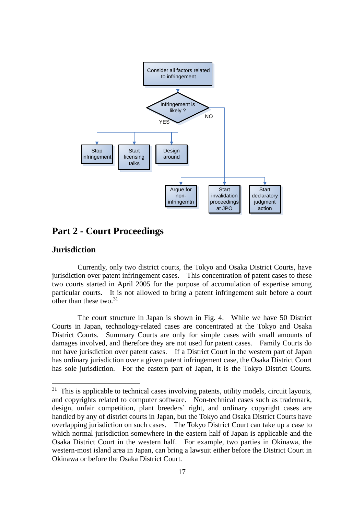

## **Part 2 - Court Proceedings**

#### **Jurisdiction**

<u>.</u>

Currently, only two district courts, the Tokyo and Osaka District Courts, have jurisdiction over patent infringement cases. This concentration of patent cases to these two courts started in April 2005 for the purpose of accumulation of expertise among particular courts. It is not allowed to bring a patent infringement suit before a court other than these two. $31$ 

The court structure in Japan is shown in Fig. 4. While we have 50 District Courts in Japan, technology-related cases are concentrated at the Tokyo and Osaka District Courts. Summary Courts are only for simple cases with small amounts of damages involved, and therefore they are not used for patent cases. Family Courts do not have jurisdiction over patent cases. If a District Court in the western part of Japan has ordinary jurisdiction over a given patent infringement case, the Osaka District Court has sole jurisdiction. For the eastern part of Japan, it is the Tokyo District Courts.

<sup>&</sup>lt;sup>31</sup> This is applicable to technical cases involving patents, utility models, circuit layouts, and copyrights related to computer software. Non-technical cases such as trademark, design, unfair competition, plant breeders' right, and ordinary copyright cases are handled by any of district courts in Japan, but the Tokyo and Osaka District Courts have overlapping jurisdiction on such cases. The Tokyo District Court can take up a case to which normal jurisdiction somewhere in the eastern half of Japan is applicable and the Osaka District Court in the western half. For example, two parties in Okinawa, the western-most island area in Japan, can bring a lawsuit either before the District Court in Okinawa or before the Osaka District Court.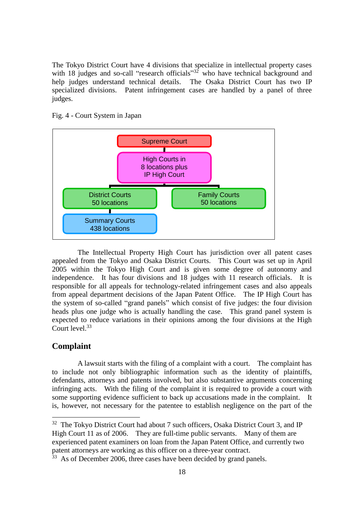The Tokyo District Court have 4 divisions that specialize in intellectual property cases with 18 judges and so-call "research officials"<sup>32</sup> who have technical background and help judges understand technical details. The Osaka District Court has two IP specialized divisions. Patent infringement cases are handled by a panel of three judges.



Fig. 4 - Court System in Japan

The Intellectual Property High Court has jurisdiction over all patent cases appealed from the Tokyo and Osaka District Courts. This Court was set up in April 2005 within the Tokyo High Court and is given some degree of autonomy and independence. It has four divisions and 18 judges with 11 research officials. It is responsible for all appeals for technology-related infringement cases and also appeals from appeal department decisions of the Japan Patent Office. The IP High Court has the system of so-called "grand panels" which consist of five judges: the four division heads plus one judge who is actually handling the case. This grand panel system is expected to reduce variations in their opinions among the four divisions at the High Court level. 33

#### **Complaint**

1

A lawsuit starts with the filing of a complaint with a court. The complaint has to include not only bibliographic information such as the identity of plaintiffs, defendants, attorneys and patents involved, but also substantive arguments concerning infringing acts. With the filing of the complaint it is required to provide a court with some supporting evidence sufficient to back up accusations made in the complaint. It is, however, not necessary for the patentee to establish negligence on the part of the

<sup>32</sup> The Tokyo District Court had about 7 such officers, Osaka District Court 3, and IP High Court 11 as of 2006. They are full-time public servants. Many of them are experienced patent examiners on loan from the Japan Patent Office, and currently two patent attorneys are working as this officer on a three-year contract.

<sup>&</sup>lt;sup>33</sup> As of December 2006, three cases have been decided by grand panels.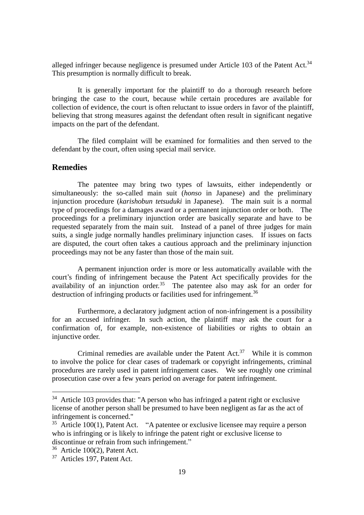alleged infringer because negligence is presumed under Article 103 of the Patent Act.<sup>34</sup> This presumption is normally difficult to break.

It is generally important for the plaintiff to do a thorough research before bringing the case to the court, because while certain procedures are available for collection of evidence, the court is often reluctant to issue orders in favor of the plaintiff, believing that strong measures against the defendant often result in significant negative impacts on the part of the defendant.

The filed complaint will be examined for formalities and then served to the defendant by the court, often using special mail service.

#### **Remedies**

The patentee may bring two types of lawsuits, either independently or simultaneously: the so-called main suit (*honso* in Japanese) and the preliminary injunction procedure (*karishobun tetsuduki* in Japanese). The main suit is a normal type of proceedings for a damages award or a permanent injunction order or both. The proceedings for a preliminary injunction order are basically separate and have to be requested separately from the main suit. Instead of a panel of three judges for main suits, a single judge normally handles preliminary injunction cases. If issues on facts are disputed, the court often takes a cautious approach and the preliminary injunction proceedings may not be any faster than those of the main suit.

A permanent injunction order is more or less automatically available with the court's finding of infringement because the Patent Act specifically provides for the availability of an injunction order.<sup>35</sup> The patentee also may ask for an order for destruction of infringing products or facilities used for infringement.<sup>36</sup>

Furthermore, a declaratory judgment action of non-infringement is a possibility for an accused infringer. In such action, the plaintiff may ask the court for a confirmation of, for example, non-existence of liabilities or rights to obtain an injunctive order.

Criminal remedies are available under the Patent  $Act.^{37}$  While it is common to involve the police for clear cases of trademark or copyright infringements, criminal procedures are rarely used in patent infringement cases. We see roughly one criminal prosecution case over a few years period on average for patent infringement.

<u>.</u>

 $34$  Article 103 provides that: "A person who has infringed a patent right or exclusive license of another person shall be presumed to have been negligent as far as the act of infringement is concerned."

 $35$  Article 100(1), Patent Act. "A patentee or exclusive licensee may require a person who is infringing or is likely to infringe the patent right or exclusive license to discontinue or refrain from such infringement."

<sup>36</sup> Article 100(2), Patent Act.

<sup>37</sup> Articles 197, Patent Act.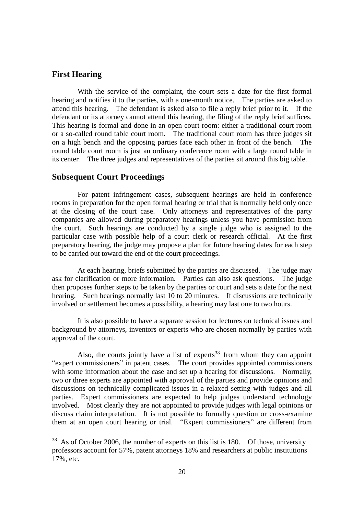#### **First Hearing**

<u>.</u>

With the service of the complaint, the court sets a date for the first formal hearing and notifies it to the parties, with a one-month notice. The parties are asked to attend this hearing. The defendant is asked also to file a reply brief prior to it. If the defendant or its attorney cannot attend this hearing, the filing of the reply brief suffices. This hearing is formal and done in an open court room: either a traditional court room or a so-called round table court room. The traditional court room has three judges sit on a high bench and the opposing parties face each other in front of the bench. The round table court room is just an ordinary conference room with a large round table in its center. The three judges and representatives of the parties sit around this big table.

#### **Subsequent Court Proceedings**

For patent infringement cases, subsequent hearings are held in conference rooms in preparation for the open formal hearing or trial that is normally held only once at the closing of the court case. Only attorneys and representatives of the party companies are allowed during preparatory hearings unless you have permission from the court. Such hearings are conducted by a single judge who is assigned to the particular case with possible help of a court clerk or research official. At the first preparatory hearing, the judge may propose a plan for future hearing dates for each step to be carried out toward the end of the court proceedings.

At each hearing, briefs submitted by the parties are discussed. The judge may ask for clarification or more information. Parties can also ask questions. The judge then proposes further steps to be taken by the parties or court and sets a date for the next hearing. Such hearings normally last 10 to 20 minutes. If discussions are technically involved or settlement becomes a possibility, a hearing may last one to two hours.

It is also possible to have a separate session for lectures on technical issues and background by attorneys, inventors or experts who are chosen normally by parties with approval of the court.

Also, the courts jointly have a list of experts<sup>38</sup> from whom they can appoint "expert commissioners" in patent cases. The court provides appointed commissioners with some information about the case and set up a hearing for discussions. Normally, two or three experts are appointed with approval of the parties and provide opinions and discussions on technically complicated issues in a relaxed setting with judges and all parties. Expert commissioners are expected to help judges understand technology involved. Most clearly they are not appointed to provide judges with legal opinions or discuss claim interpretation. It is not possible to formally question or cross-examine them at an open court hearing or trial. "Expert commissioners" are different from

<sup>&</sup>lt;sup>38</sup> As of October 2006, the number of experts on this list is 180. Of those, university professors account for 57%, patent attorneys 18% and researchers at public institutions 17%, etc.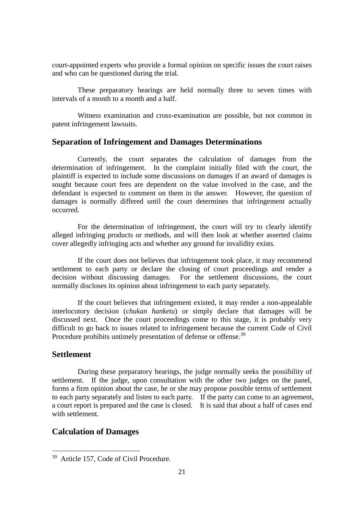court-appointed experts who provide a formal opinion on specific issues the court raises and who can be questioned during the trial.

These preparatory hearings are held normally three to seven times with intervals of a month to a month and a half.

Witness examination and cross-examination are possible, but not common in patent infringement lawsuits.

#### **Separation of Infringement and Damages Determinations**

Currently, the court separates the calculation of damages from the determination of infringement. In the complaint initially filed with the court, the plaintiff is expected to include some discussions on damages if an award of damages is sought because court fees are dependent on the value involved in the case, and the defendant is expected to comment on them in the answer. However, the question of damages is normally differed until the court determines that infringement actually occurred.

For the determination of infringement, the court will try to clearly identify alleged infringing products or methods, and will then look at whether asserted claims cover allegedly infringing acts and whether any ground for invalidity exists.

If the court does not believes that infringement took place, it may recommend settlement to each party or declare the closing of court proceedings and render a decision without discussing damages. For the settlement discussions, the court normally discloses its opinion about infringement to each party separately.

If the court believes that infringement existed, it may render a non-appealable interlocutory decision (c*hukan hanketu*) or simply declare that damages will be discussed next. Once the court proceedings come to this stage, it is probably very difficult to go back to issues related to infringement because the current Code of Civil Procedure prohibits untimely presentation of defense or offense.<sup>39</sup>

## **Settlement**

1

During these preparatory hearings, the judge normally seeks the possibility of settlement. If the judge, upon consultation with the other two judges on the panel, forms a firm opinion about the case, he or she may propose possible terms of settlement to each party separately and listen to each party. If the party can come to an agreement, a court report is prepared and the case is closed. It is said that about a half of cases end with settlement.

## **Calculation of Damages**

<sup>39</sup> Article 157, Code of Civil Procedure.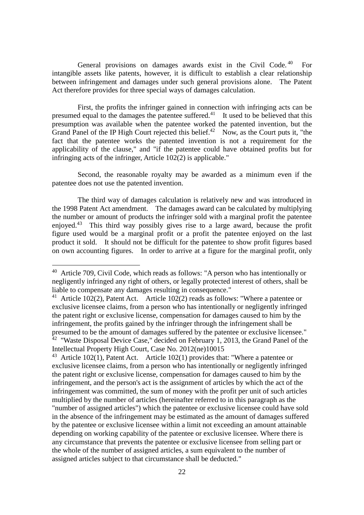General provisions on damages awards exist in the Civil Code.<sup>40</sup> For intangible assets like patents, however, it is difficult to establish a clear relationship between infringement and damages under such general provisions alone. The Patent Act therefore provides for three special ways of damages calculation.

First, the profits the infringer gained in connection with infringing acts can be presumed equal to the damages the patentee suffered.<sup>41</sup> It used to be believed that this presumption was available when the patentee worked the patented invention, but the Grand Panel of the IP High Court rejected this belief.<sup>42</sup> Now, as the Court puts it, "the fact that the patentee works the patented invention is not a requirement for the applicability of the clause," and "if the patentee could have obtained profits but for infringing acts of the infringer, Article 102(2) is applicable."

Second, the reasonable royalty may be awarded as a minimum even if the patentee does not use the patented invention.

The third way of damages calculation is relatively new and was introduced in the 1998 Patent Act amendment. The damages award can be calculated by multiplying the number or amount of products the infringer sold with a marginal profit the patentee enjoyed.<sup>43</sup> This third way possibly gives rise to a large award, because the profit figure used would be a marginal profit or a profit the patentee enjoyed on the last product it sold. It should not be difficult for the patentee to show profit figures based on own accounting figures. In order to arrive at a figure for the marginal profit, only

1

<sup>&</sup>lt;sup>40</sup> Article 709, Civil Code, which reads as follows: "A person who has intentionally or negligently infringed any right of others, or legally protected interest of others, shall be liable to compensate any damages resulting in consequence."

<sup>&</sup>lt;sup>41</sup> Article 102(2), Patent Act. Article 102(2) reads as follows: "Where a patentee or exclusive licensee claims, from a person who has intentionally or negligently infringed the patent right or exclusive license, compensation for damages caused to him by the infringement, the profits gained by the infringer through the infringement shall be presumed to be the amount of damages suffered by the patentee or exclusive licensee." <sup>42</sup> "Waste Disposal Device Case," decided on February 1, 2013, the Grand Panel of the Intellectual Property High Court, Case No. 2012(ne)10015

<sup>&</sup>lt;sup>43</sup> Article 102(1), Patent Act. Article 102(1) provides that: "Where a patentee or exclusive licensee claims, from a person who has intentionally or negligently infringed the patent right or exclusive license, compensation for damages caused to him by the infringement, and the person's act is the assignment of articles by which the act of the infringement was committed, the sum of money with the profit per unit of such articles multiplied by the number of articles (hereinafter referred to in this paragraph as the "number of assigned articles") which the patentee or exclusive licensee could have sold in the absence of the infringement may be estimated as the amount of damages suffered by the patentee or exclusive licensee within a limit not exceeding an amount attainable depending on working capability of the patentee or exclusive licensee. Where there is any circumstance that prevents the patentee or exclusive licensee from selling part or the whole of the number of assigned articles, a sum equivalent to the number of assigned articles subject to that circumstance shall be deducted."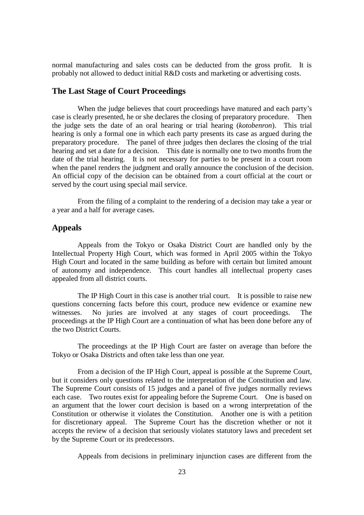normal manufacturing and sales costs can be deducted from the gross profit. It is probably not allowed to deduct initial R&D costs and marketing or advertising costs.

#### **The Last Stage of Court Proceedings**

When the judge believes that court proceedings have matured and each party's case is clearly presented, he or she declares the closing of preparatory procedure. Then the judge sets the date of an oral hearing or trial hearing (*kotobenron*). This trial hearing is only a formal one in which each party presents its case as argued during the preparatory procedure. The panel of three judges then declares the closing of the trial hearing and set a date for a decision. This date is normally one to two months from the date of the trial hearing. It is not necessary for parties to be present in a court room when the panel renders the judgment and orally announce the conclusion of the decision. An official copy of the decision can be obtained from a court official at the court or served by the court using special mail service.

From the filing of a complaint to the rendering of a decision may take a year or a year and a half for average cases.

## **Appeals**

Appeals from the Tokyo or Osaka District Court are handled only by the Intellectual Property High Court, which was formed in April 2005 within the Tokyo High Court and located in the same building as before with certain but limited amount of autonomy and independence. This court handles all intellectual property cases appealed from all district courts.

The IP High Court in this case is another trial court. It is possible to raise new questions concerning facts before this court, produce new evidence or examine new witnesses. No juries are involved at any stages of court proceedings. The proceedings at the IP High Court are a continuation of what has been done before any of the two District Courts.

The proceedings at the IP High Court are faster on average than before the Tokyo or Osaka Districts and often take less than one year.

From a decision of the IP High Court, appeal is possible at the Supreme Court, but it considers only questions related to the interpretation of the Constitution and law. The Supreme Court consists of 15 judges and a panel of five judges normally reviews each case. Two routes exist for appealing before the Supreme Court. One is based on an argument that the lower court decision is based on a wrong interpretation of the Constitution or otherwise it violates the Constitution. Another one is with a petition for discretionary appeal. The Supreme Court has the discretion whether or not it accepts the review of a decision that seriously violates statutory laws and precedent set by the Supreme Court or its predecessors.

Appeals from decisions in preliminary injunction cases are different from the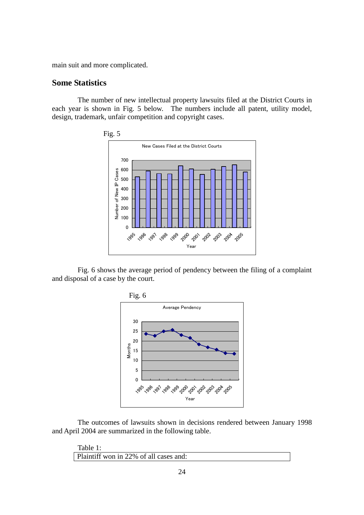main suit and more complicated.

#### **Some Statistics**

The number of new intellectual property lawsuits filed at the District Courts in each year is shown in Fig. 5 below. The numbers include all patent, utility model, design, trademark, unfair competition and copyright cases.



Fig. 6 shows the average period of pendency between the filing of a complaint and disposal of a case by the court.



The outcomes of lawsuits shown in decisions rendered between January 1998 and April 2004 are summarized in the following table.

Table 1: Plaintiff won in 22% of all cases and: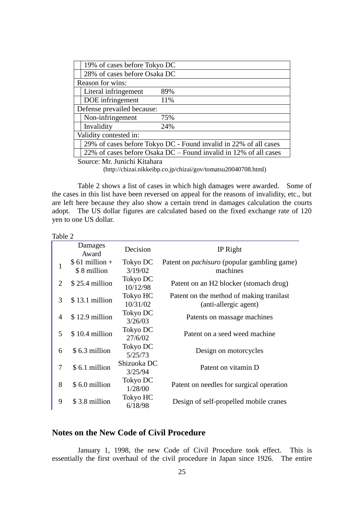|                              | 19% of cases before Tokyo DC                                     |                                                                  |  |  |
|------------------------------|------------------------------------------------------------------|------------------------------------------------------------------|--|--|
|                              | 28% of cases before Osaka DC                                     |                                                                  |  |  |
| Reason for wins:             |                                                                  |                                                                  |  |  |
|                              | Literal infringement<br>89%                                      |                                                                  |  |  |
|                              | DOE infringement<br>11%                                          |                                                                  |  |  |
| Defense prevailed because:   |                                                                  |                                                                  |  |  |
|                              | Non-infringement<br>75%                                          |                                                                  |  |  |
|                              | Invalidity<br>24%                                                |                                                                  |  |  |
| Validity contested in:       |                                                                  |                                                                  |  |  |
|                              | 29% of cases before Tokyo DC - Found invalid in 22% of all cases |                                                                  |  |  |
|                              |                                                                  | 22% of cases before Osaka DC – Found invalid in 12% of all cases |  |  |
| Source: Mr. Junichi Kitahara |                                                                  |                                                                  |  |  |

(http://chizai.nikkeibp.co.jp/chizai/gov/tomatsu20040708.html)

Table 2 shows a list of cases in which high damages were awarded. Some of the cases in this list have been reversed on appeal for the reasons of invalidity, etc., but are left here because they also show a certain trend in damages calculation the courts adopt. The US dollar figures are calculated based on the fixed exchange rate of 120 yen to one US dollar.

| . . |  |
|-----|--|
|     |  |

|   | Damages<br>Award               | Decision               | IP Right                                                          |
|---|--------------------------------|------------------------|-------------------------------------------------------------------|
|   | $$61$ million +<br>\$8 million | Tokyo DC<br>3/19/02    | Patent on <i>pachisuro</i> (popular gambling game)<br>machines    |
| 2 | $$25.4$ million                | Tokyo DC<br>10/12/98   | Patent on an H2 blocker (stomach drug)                            |
| 3 | $$13.1$ million                | Tokyo HC<br>10/31/02   | Patent on the method of making tranilast<br>(anti-allergic agent) |
| 4 | $$12.9$ million                | Tokyo DC<br>3/26/03    | Patents on massage machines                                       |
| 5 | $$10.4$ million                | Tokyo DC<br>27/6/02    | Patent on a seed weed machine                                     |
| 6 | \$6.3 million                  | Tokyo DC<br>5/25/73    | Design on motorcycles                                             |
| 7 | \$6.1 million                  | Shizuoka DC<br>3/25/94 | Patent on vitamin D                                               |
| 8 | \$6.0 million                  | Tokyo DC<br>1/28/00    | Patent on needles for surgical operation                          |
| 9 | \$3.8 million                  | Tokyo HC<br>6/18/98    | Design of self-propelled mobile cranes                            |

## **Notes on the New Code of Civil Procedure**

January 1, 1998, the new Code of Civil Procedure took effect. This is essentially the first overhaul of the civil procedure in Japan since 1926. The entire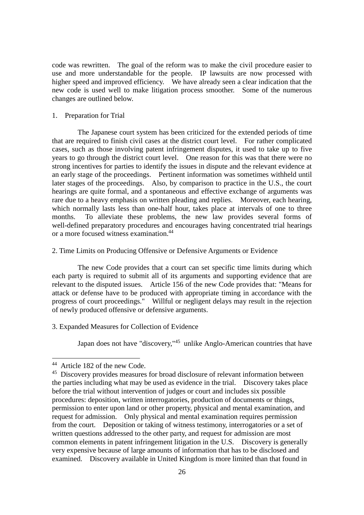code was rewritten. The goal of the reform was to make the civil procedure easier to use and more understandable for the people. IP lawsuits are now processed with higher speed and improved efficiency. We have already seen a clear indication that the new code is used well to make litigation process smoother. Some of the numerous changes are outlined below.

#### 1. Preparation for Trial

The Japanese court system has been criticized for the extended periods of time that are required to finish civil cases at the district court level. For rather complicated cases, such as those involving patent infringement disputes, it used to take up to five years to go through the district court level. One reason for this was that there were no strong incentives for parties to identify the issues in dispute and the relevant evidence at an early stage of the proceedings. Pertinent information was sometimes withheld until later stages of the proceedings. Also, by comparison to practice in the U.S., the court hearings are quite formal, and a spontaneous and effective exchange of arguments was rare due to a heavy emphasis on written pleading and replies. Moreover, each hearing, which normally lasts less than one-half hour, takes place at intervals of one to three months. To alleviate these problems, the new law provides several forms of well-defined preparatory procedures and encourages having concentrated trial hearings or a more focused witness examination.<sup>44</sup>

#### 2. Time Limits on Producing Offensive or Defensive Arguments or Evidence

The new Code provides that a court can set specific time limits during which each party is required to submit all of its arguments and supporting evidence that are relevant to the disputed issues. Article 156 of the new Code provides that: "Means for attack or defense have to be produced with appropriate timing in accordance with the progress of court proceedings." Willful or negligent delays may result in the rejection of newly produced offensive or defensive arguments.

#### 3. Expanded Measures for Collection of Evidence

Japan does not have "discovery,"<sup>45</sup> unlike Anglo-American countries that have

1

<sup>44</sup> Article 182 of the new Code.

<sup>45</sup> Discovery provides measures for broad disclosure of relevant information between the parties including what may be used as evidence in the trial. Discovery takes place before the trial without intervention of judges or court and includes six possible procedures: deposition, written interrogatories, production of documents or things, permission to enter upon land or other property, physical and mental examination, and request for admission. Only physical and mental examination requires permission from the court. Deposition or taking of witness testimony, interrogatories or a set of written questions addressed to the other party, and request for admission are most common elements in patent infringement litigation in the U.S. Discovery is generally very expensive because of large amounts of information that has to be disclosed and examined. Discovery available in United Kingdom is more limited than that found in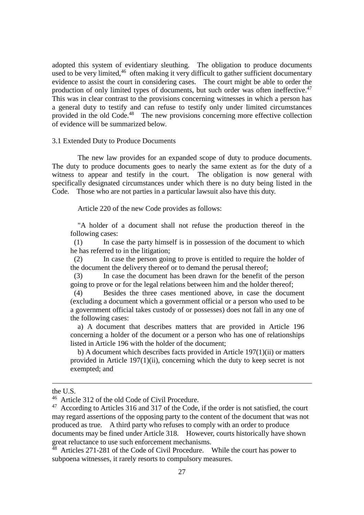adopted this system of evidentiary sleuthing. The obligation to produce documents used to be very limited,  $46$  often making it very difficult to gather sufficient documentary evidence to assist the court in considering cases. The court might be able to order the production of only limited types of documents, but such order was often ineffective.<sup>47</sup> This was in clear contrast to the provisions concerning witnesses in which a person has a general duty to testify and can refuse to testify only under limited circumstances provided in the old Code.<sup>48</sup> The new provisions concerning more effective collection of evidence will be summarized below.

#### 3.1 Extended Duty to Produce Documents

The new law provides for an expanded scope of duty to produce documents. The duty to produce documents goes to nearly the same extent as for the duty of a witness to appear and testify in the court. The obligation is now general with specifically designated circumstances under which there is no duty being listed in the Code. Those who are not parties in a particular lawsuit also have this duty.

Article 220 of the new Code provides as follows:

"A holder of a document shall not refuse the production thereof in the following cases:

(1) In case the party himself is in possession of the document to which he has referred to in the litigation;

(2) In case the person going to prove is entitled to require the holder of the document the delivery thereof or to demand the perusal thereof;

(3) In case the document has been drawn for the benefit of the person going to prove or for the legal relations between him and the holder thereof;

(4) Besides the three cases mentioned above, in case the document (excluding a document which a government official or a person who used to be a government official takes custody of or possesses) does not fall in any one of the following cases:

a) A document that describes matters that are provided in Article 196 concerning a holder of the document or a person who has one of relationships listed in Article 196 with the holder of the document;

b) A document which describes facts provided in Article 197(1)(ii) or matters provided in Article 197(1)(ii), concerning which the duty to keep secret is not exempted; and

<u>.</u>

the U.S.

<sup>&</sup>lt;sup>46</sup> Article 312 of the old Code of Civil Procedure.

 $47$  According to Articles 316 and 317 of the Code, if the order is not satisfied, the court may regard assertions of the opposing party to the content of the document that was not produced as true. A third party who refuses to comply with an order to produce documents may be fined under Article 318. However, courts historically have shown great reluctance to use such enforcement mechanisms.

<sup>&</sup>lt;sup>48</sup> Articles 271-281 of the Code of Civil Procedure. While the court has power to subpoena witnesses, it rarely resorts to compulsory measures.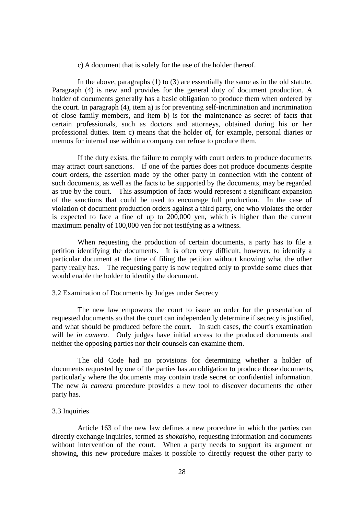c) A document that is solely for the use of the holder thereof.

In the above, paragraphs (1) to (3) are essentially the same as in the old statute. Paragraph (4) is new and provides for the general duty of document production. A holder of documents generally has a basic obligation to produce them when ordered by the court. In paragraph (4), item a) is for preventing self-incrimination and incrimination of close family members, and item b) is for the maintenance as secret of facts that certain professionals, such as doctors and attorneys, obtained during his or her professional duties. Item c) means that the holder of, for example, personal diaries or memos for internal use within a company can refuse to produce them.

If the duty exists, the failure to comply with court orders to produce documents may attract court sanctions. If one of the parties does not produce documents despite court orders, the assertion made by the other party in connection with the content of such documents, as well as the facts to be supported by the documents, may be regarded as true by the court. This assumption of facts would represent a significant expansion of the sanctions that could be used to encourage full production. In the case of violation of document production orders against a third party, one who violates the order is expected to face a fine of up to 200,000 yen, which is higher than the current maximum penalty of 100,000 yen for not testifying as a witness.

When requesting the production of certain documents, a party has to file a petition identifying the documents. It is often very difficult, however, to identify a particular document at the time of filing the petition without knowing what the other party really has. The requesting party is now required only to provide some clues that would enable the holder to identify the document.

#### 3.2 Examination of Documents by Judges under Secrecy

The new law empowers the court to issue an order for the presentation of requested documents so that the court can independently determine if secrecy is justified, and what should be produced before the court. In such cases, the court's examination will be *in camera*. Only judges have initial access to the produced documents and neither the opposing parties nor their counsels can examine them.

The old Code had no provisions for determining whether a holder of documents requested by one of the parties has an obligation to produce those documents, particularly where the documents may contain trade secret or confidential information. The new *in camera* procedure provides a new tool to discover documents the other party has.

#### 3.3 Inquiries

Article 163 of the new law defines a new procedure in which the parties can directly exchange inquiries, termed as *shokaisho*, requesting information and documents without intervention of the court. When a party needs to support its argument or showing, this new procedure makes it possible to directly request the other party to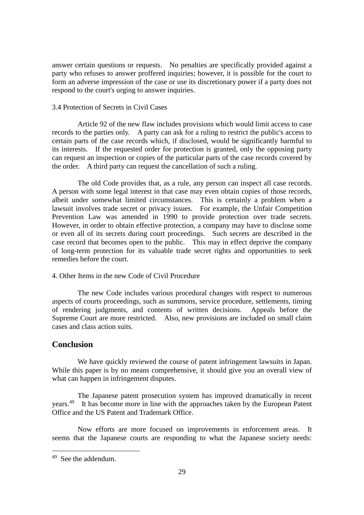answer certain questions or requests. No penalties are specifically provided against a party who refuses to answer proffered inquiries; however, it is possible for the court to form an adverse impression of the case or use its discretionary power if a party does not respond to the court's urging to answer inquiries.

#### 3.4 Protection of Secrets in Civil Cases

Article 92 of the new flaw includes provisions which would limit access to case records to the parties only. A party can ask for a ruling to restrict the public's access to certain parts of the case records which, if disclosed, would be significantly harmful to its interests. If the requested order for protection is granted, only the opposing party can request an inspection or copies of the particular parts of the case records covered by the order. A third party can request the cancellation of such a ruling.

The old Code provides that, as a rule, any person can inspect all case records. A person with some legal interest in that case may even obtain copies of those records, albeit under somewhat limited circumstances. This is certainly a problem when a lawsuit involves trade secret or privacy issues. For example, the Unfair Competition Prevention Law was amended in 1990 to provide protection over trade secrets. However, in order to obtain effective protection, a company may have to disclose some or even all of its secrets during court proceedings. Such secrets are described in the case record that becomes open to the public. This may in effect deprive the company of long-term protection for its valuable trade secret rights and opportunities to seek remedies before the court.

#### 4. Other Items in the new Code of Civil Procedure

The new Code includes various procedural changes with respect to numerous aspects of courts proceedings, such as summons, service procedure, settlements, timing of rendering judgments, and contents of written decisions. Appeals before the Supreme Court are more restricted. Also, new provisions are included on small claim cases and class action suits.

#### **Conclusion**

We have quickly reviewed the course of patent infringement lawsuits in Japan. While this paper is by no means comprehensive, it should give you an overall view of what can happen in infringement disputes.

The Japanese patent prosecution system has improved dramatically in recent years.<sup>49</sup> It has become more in line with the approaches taken by the European Patent Office and the US Patent and Trademark Office.

Now efforts are more focused on improvements in enforcement areas. It seems that the Japanese courts are responding to what the Japanese society needs:

1

<sup>49</sup> See the addendum.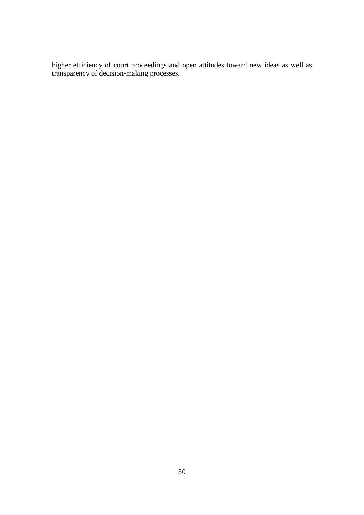higher efficiency of court proceedings and open attitudes toward new ideas as well as transparency of decision-making processes.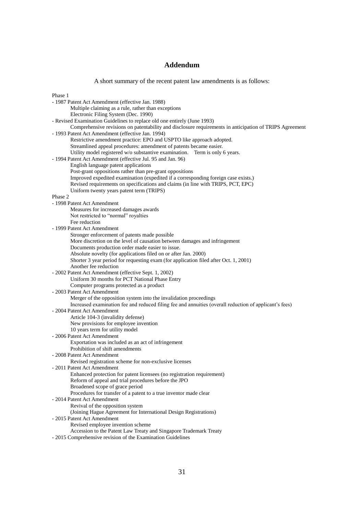## **Addendum**

A short summary of the recent patent law amendments is as follows:

| Phase 1                                                                                                       |
|---------------------------------------------------------------------------------------------------------------|
| - 1987 Patent Act Amendment (effective Jan. 1988)                                                             |
| Multiple claiming as a rule, rather than exceptions                                                           |
| Electronic Filing System (Dec. 1990)                                                                          |
| - Revised Examination Guidelines to replace old one entirely (June 1993)                                      |
| Comprehensive revisions on patentability and disclosure requirements in anticipation of TRIPS Agreement       |
| - 1993 Patent Act Amendment (effective Jan. 1994)                                                             |
| Restrictive amendment practice: EPO and USPTO like approach adopted.                                          |
| Streamlined appeal procedures: amendment of patents became easier.                                            |
| Utility model registered w/o substantive examination. Term is only 6 years.                                   |
| - 1994 Patent Act Amendment (effective Jul. 95 and Jan. 96)<br>English language patent applications           |
| Post-grant oppositions rather than pre-grant oppositions                                                      |
| Improved expedited examination (expedited if a corresponding foreign case exists.)                            |
| Revised requirements on specifications and claims (in line with TRIPS, PCT, EPC)                              |
| Uniform twenty years patent term (TRIPS)                                                                      |
| Phase 2                                                                                                       |
| - 1998 Patent Act Amendment                                                                                   |
| Measures for increased damages awards                                                                         |
| Not restricted to "normal" royalties                                                                          |
| Fee reduction                                                                                                 |
| - 1999 Patent Act Amendment                                                                                   |
| Stronger enforcement of patents made possible                                                                 |
| More discretion on the level of causation between damages and infringement                                    |
| Documents production order made easier to issue.                                                              |
| Absolute novelty (for applications filed on or after Jan. 2000)                                               |
| Shorter 3 year period for requesting exam (for application filed after Oct. 1, 2001)<br>Another fee reduction |
| - 2002 Patent Act Amendment (effective Sept. 1, 2002)                                                         |
| Uniform 30 months for PCT National Phase Entry                                                                |
| Computer programs protected as a product                                                                      |
| - 2003 Patent Act Amendment                                                                                   |
| Merger of the opposition system into the invalidation proceedings                                             |
| Increased examination fee and reduced filing fee and annuities (overall reduction of applicant's fees)        |
| - 2004 Patent Act Amendment                                                                                   |
| Article 104-3 (invalidity defense)                                                                            |
| New provisions for employee invention                                                                         |
| 10 years term for utility model                                                                               |
| - 2006 Patent Act Amendment                                                                                   |
| Exportation was included as an act of infringement                                                            |
| Prohibition of shift amendments                                                                               |
| - 2008 Patent Act Amendment                                                                                   |
| Revised registration scheme for non-exclusive licenses<br>- 2011 Patent Act Amendment                         |
| Enhanced protection for patent licensees (no registration requirement)                                        |
| Reform of appeal and trial procedures before the JPO                                                          |
| Broadened scope of grace period                                                                               |
| Procedures for transfer of a patent to a true inventor made clear                                             |
| - 2014 Patent Act Amendment                                                                                   |
| Revival of the opposition system                                                                              |
| (Joining Hague Agreement for International Design Registrations)                                              |
| - 2015 Patent Act Amendment                                                                                   |
| Revised employee invention scheme                                                                             |
| Accession to the Patent Law Treaty and Singapore Trademark Treaty                                             |
| - 2015 Comprehensive revision of the Examination Guidelines                                                   |